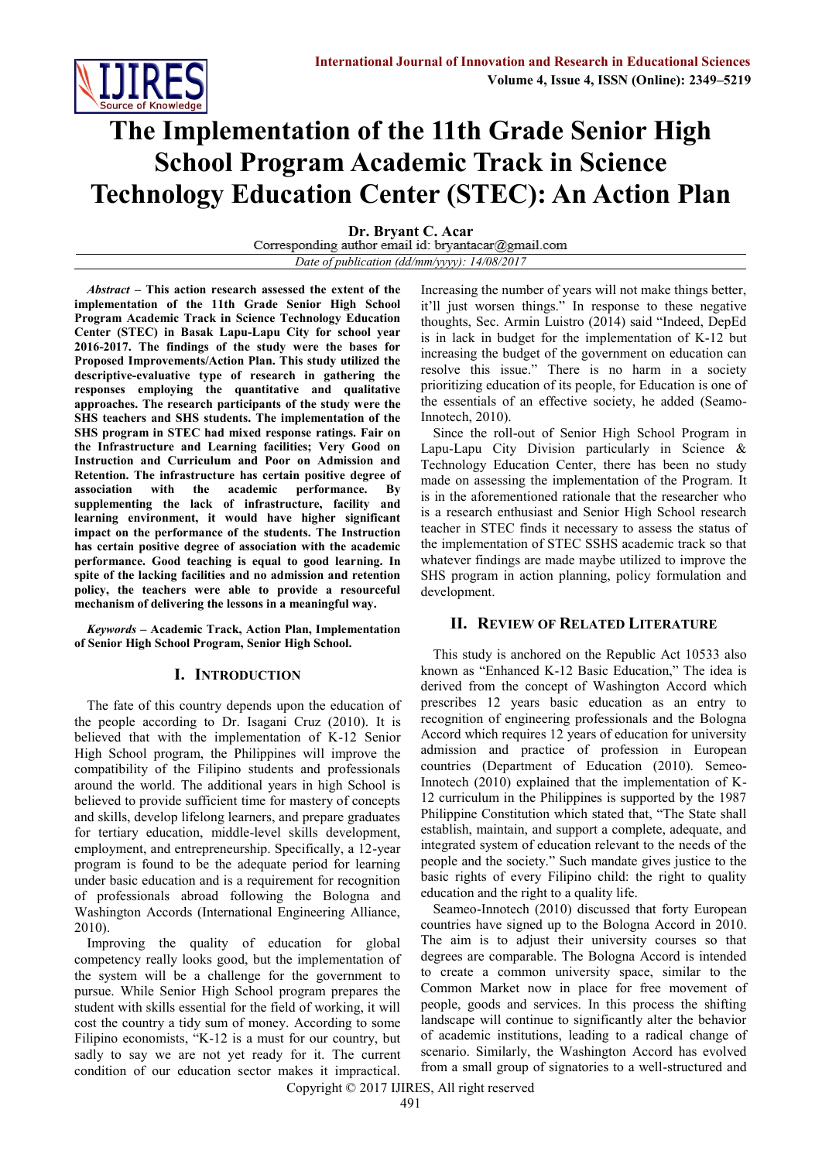

# **The Implementation of the 11th Grade Senior High School Program Academic Track in Science Technology Education Center (STEC): An Action Plan**

**Dr. Bryant C. Acar**<br>Corresponding author email id: bryantacar@gmail.com

*Date of publication (dd/mm/yyyy): 14/08/2017*

*Abstract* **– This action research assessed the extent of the implementation of the 11th Grade Senior High School Program Academic Track in Science Technology Education Center (STEC) in Basak Lapu-Lapu City for school year 2016-2017. The findings of the study were the bases for Proposed Improvements/Action Plan. This study utilized the descriptive-evaluative type of research in gathering the responses employing the quantitative and qualitative approaches. The research participants of the study were the SHS teachers and SHS students. The implementation of the SHS program in STEC had mixed response ratings. Fair on the Infrastructure and Learning facilities; Very Good on Instruction and Curriculum and Poor on Admission and Retention. The infrastructure has certain positive degree of association with the academic performance. By supplementing the lack of infrastructure, facility and learning environment, it would have higher significant impact on the performance of the students. The Instruction has certain positive degree of association with the academic performance. Good teaching is equal to good learning. In spite of the lacking facilities and no admission and retention policy, the teachers were able to provide a resourceful mechanism of delivering the lessons in a meaningful way.**

*Keywords* **– Academic Track, Action Plan, Implementation of Senior High School Program, Senior High School.**

# **I. INTRODUCTION**

The fate of this country depends upon the education of the people according to Dr. Isagani Cruz (2010). It is believed that with the implementation of K-12 Senior High School program, the Philippines will improve the compatibility of the Filipino students and professionals around the world. The additional years in high School is believed to provide sufficient time for mastery of concepts and skills, develop lifelong learners, and prepare graduates for tertiary education, middle-level skills development, employment, and entrepreneurship. Specifically, a 12-year program is found to be the adequate period for learning under basic education and is a requirement for recognition of professionals abroad following the Bologna and Washington Accords (International Engineering Alliance, 2010).

Improving the quality of education for global competency really looks good, but the implementation of the system will be a challenge for the government to pursue. While Senior High School program prepares the student with skills essential for the field of working, it will cost the country a tidy sum of money. According to some Filipino economists, "K-12 is a must for our country, but sadly to say we are not yet ready for it. The current condition of our education sector makes it impractical.

Increasing the number of years will not make things better, it'll just worsen things." In response to these negative thoughts, Sec. Armin Luistro (2014) said "Indeed, DepEd is in lack in budget for the implementation of K-12 but increasing the budget of the government on education can resolve this issue." There is no harm in a society prioritizing education of its people, for Education is one of the essentials of an effective society, he added (Seamo-Innotech, 2010).

Since the roll-out of Senior High School Program in Lapu-Lapu City Division particularly in Science & Technology Education Center, there has been no study made on assessing the implementation of the Program. It is in the aforementioned rationale that the researcher who is a research enthusiast and Senior High School research teacher in STEC finds it necessary to assess the status of the implementation of STEC SSHS academic track so that whatever findings are made maybe utilized to improve the SHS program in action planning, policy formulation and development.

#### **II. REVIEW OF RELATED LITERATURE**

This study is anchored on the Republic Act 10533 also known as "Enhanced K-12 Basic Education," The idea is derived from the concept of Washington Accord which prescribes 12 years basic education as an entry to recognition of engineering professionals and the Bologna Accord which requires 12 years of education for university admission and practice of profession in European countries (Department of Education (2010). Semeo-Innotech (2010) explained that the implementation of K-12 curriculum in the Philippines is supported by the 1987 Philippine Constitution which stated that, "The State shall establish, maintain, and support a complete, adequate, and integrated system of education relevant to the needs of the people and the society." Such mandate gives justice to the basic rights of every Filipino child: the right to quality education and the right to a quality life.

Seameo-Innotech (2010) discussed that forty European countries have signed up to the Bologna Accord in 2010. The aim is to adjust their university courses so that degrees are comparable. The Bologna Accord is intended to create a common university space, similar to the Common Market now in place for free movement of people, goods and services. In this process the shifting landscape will continue to significantly alter the behavior of academic institutions, leading to a radical change of scenario. Similarly, the Washington Accord has evolved from a small group of signatories to a well-structured and

Copyright © 2017 IJIRES, All right reserved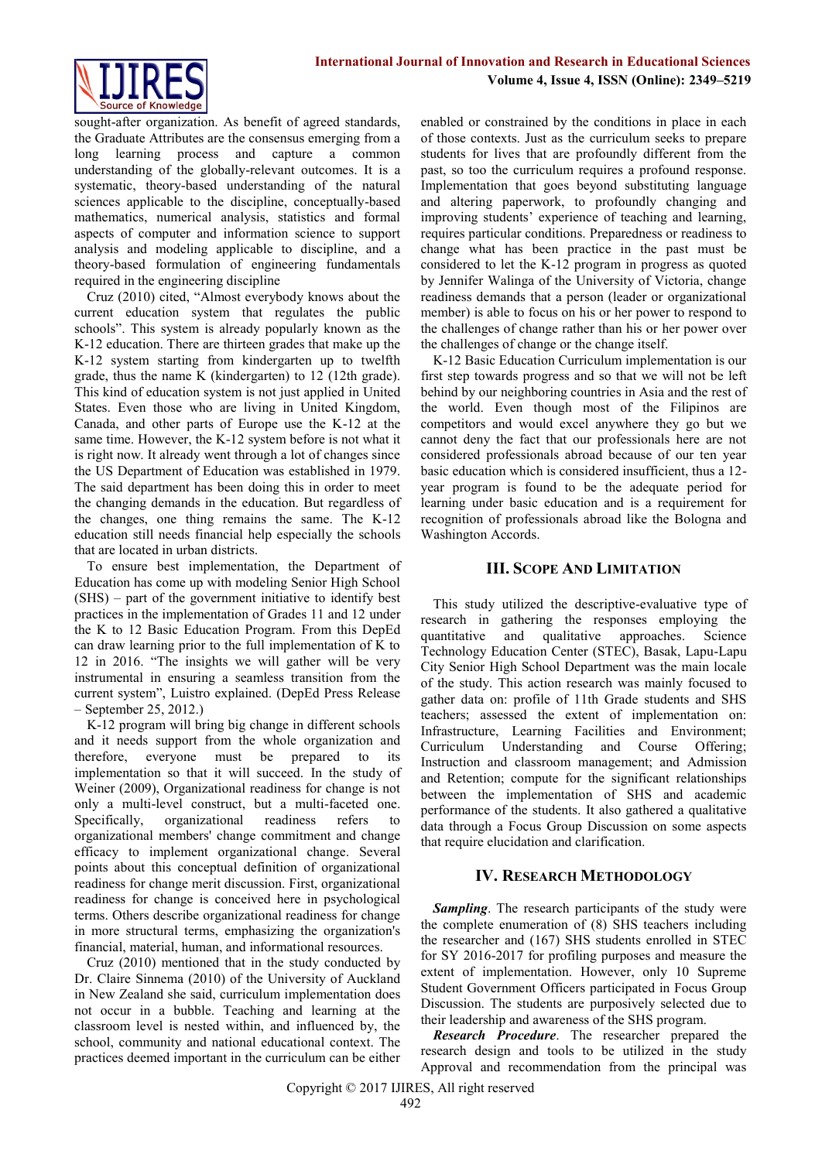

sought-after organization. As benefit of agreed standards, the Graduate Attributes are the consensus emerging from a long learning process and capture a common understanding of the globally-relevant outcomes. It is a systematic, theory-based understanding of the natural sciences applicable to the discipline, conceptually-based mathematics, numerical analysis, statistics and formal aspects of computer and information science to support analysis and modeling applicable to discipline, and a theory-based formulation of engineering fundamentals required in the engineering discipline

Cruz (2010) cited, "Almost everybody knows about the current education system that regulates the public schools". This system is already popularly known as the K-12 education. There are thirteen grades that make up the K-12 system starting from kindergarten up to twelfth grade, thus the name K (kindergarten) to 12 (12th grade). This kind of education system is not just applied in United States. Even those who are living in United Kingdom, Canada, and other parts of Europe use the K-12 at the same time. However, the K-12 system before is not what it is right now. It already went through a lot of changes since the US Department of Education was established in 1979. The said department has been doing this in order to meet the changing demands in the education. But regardless of the changes, one thing remains the same. The K-12 education still needs financial help especially the schools that are located in urban districts.

To ensure best implementation, the Department of Education has come up with modeling Senior High School (SHS) – part of the government initiative to identify best practices in the implementation of Grades 11 and 12 under the K to 12 Basic Education Program. From this DepEd can draw learning prior to the full implementation of K to 12 in 2016. "The insights we will gather will be very instrumental in ensuring a seamless transition from the current system", Luistro explained. (DepEd Press Release – September 25, 2012.)

K-12 program will bring big change in different schools and it needs support from the whole organization and therefore, everyone must be prepared to its implementation so that it will succeed. In the study of Weiner (2009), Organizational readiness for change is not only a multi-level construct, but a multi-faceted one. Specifically, organizational readiness refers to organizational members' change commitment and change efficacy to implement organizational change. Several points about this conceptual definition of organizational readiness for change merit discussion. First, organizational readiness for change is conceived here in psychological terms. Others describe organizational readiness for change in more structural terms, emphasizing the organization's financial, material, human, and informational resources.

Cruz (2010) mentioned that in the study conducted by Dr. Claire Sinnema (2010) of the University of Auckland in New Zealand she said, curriculum implementation does not occur in a bubble. Teaching and learning at the classroom level is nested within, and influenced by, the school, community and national educational context. The practices deemed important in the curriculum can be either

enabled or constrained by the conditions in place in each of those contexts. Just as the curriculum seeks to prepare students for lives that are profoundly different from the past, so too the curriculum requires a profound response. Implementation that goes beyond substituting language and altering paperwork, to profoundly changing and improving students' experience of teaching and learning, requires particular conditions. Preparedness or readiness to change what has been practice in the past must be considered to let the K-12 program in progress as quoted by Jennifer Walinga of the University of Victoria, change readiness demands that a person (leader or organizational member) is able to focus on his or her power to respond to the challenges of change rather than his or her power over the challenges of change or the change itself.

K-12 Basic Education Curriculum implementation is our first step towards progress and so that we will not be left behind by our neighboring countries in Asia and the rest of the world. Even though most of the Filipinos are competitors and would excel anywhere they go but we cannot deny the fact that our professionals here are not considered professionals abroad because of our ten year basic education which is considered insufficient, thus a 12 year program is found to be the adequate period for learning under basic education and is a requirement for recognition of professionals abroad like the Bologna and Washington Accords.

## **III. SCOPE AND LIMITATION**

This study utilized the descriptive-evaluative type of research in gathering the responses employing the quantitative and qualitative approaches. Science Technology Education Center (STEC), Basak, Lapu-Lapu City Senior High School Department was the main locale of the study. This action research was mainly focused to gather data on: profile of 11th Grade students and SHS teachers; assessed the extent of implementation on: Infrastructure, Learning Facilities and Environment; Curriculum Understanding and Course Offering; Instruction and classroom management; and Admission and Retention; compute for the significant relationships between the implementation of SHS and academic performance of the students. It also gathered a qualitative data through a Focus Group Discussion on some aspects that require elucidation and clarification.

# **IV. RESEARCH METHODOLOGY**

*Sampling*. The research participants of the study were the complete enumeration of (8) SHS teachers including the researcher and (167) SHS students enrolled in STEC for SY 2016-2017 for profiling purposes and measure the extent of implementation. However, only 10 Supreme Student Government Officers participated in Focus Group Discussion. The students are purposively selected due to their leadership and awareness of the SHS program.

*Research Procedure*. The researcher prepared the research design and tools to be utilized in the study Approval and recommendation from the principal was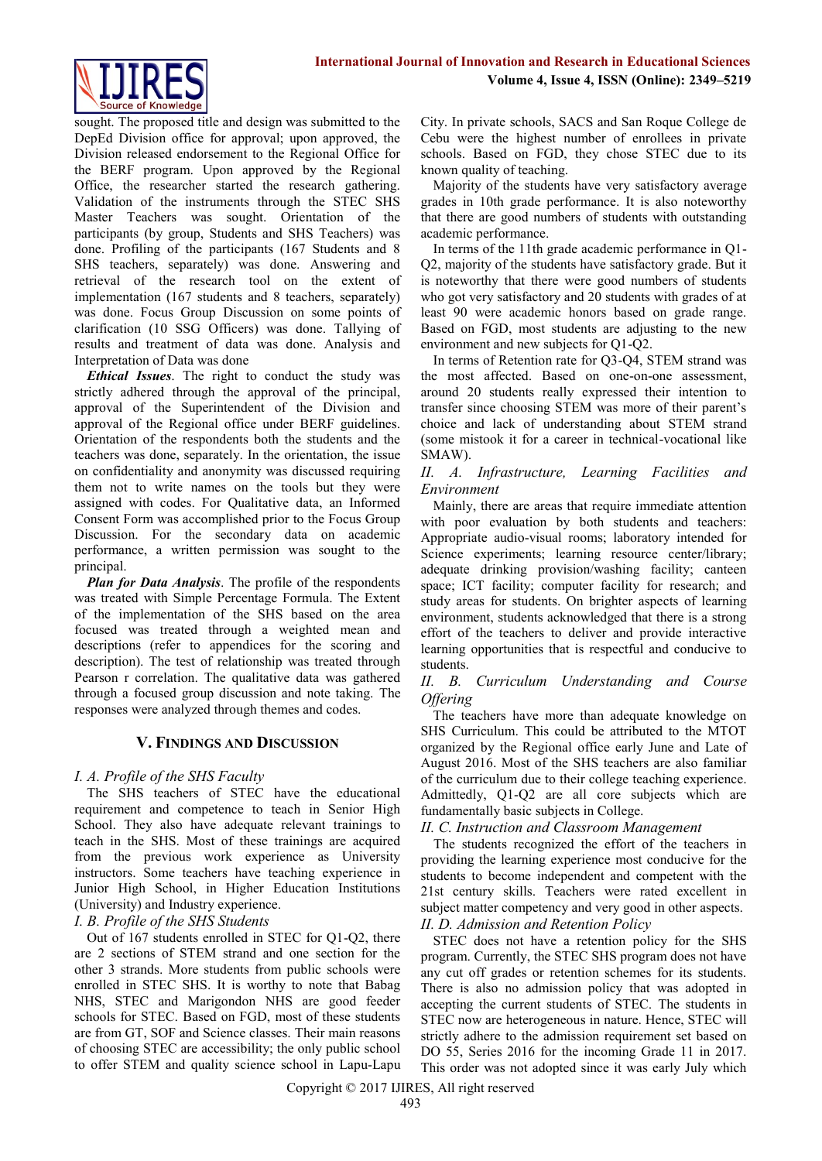

sought. The proposed title and design was submitted to the DepEd Division office for approval; upon approved, the Division released endorsement to the Regional Office for the BERF program. Upon approved by the Regional Office, the researcher started the research gathering. Validation of the instruments through the STEC SHS Master Teachers was sought. Orientation of the participants (by group, Students and SHS Teachers) was done. Profiling of the participants (167 Students and 8 SHS teachers, separately) was done. Answering and retrieval of the research tool on the extent of implementation (167 students and 8 teachers, separately) was done. Focus Group Discussion on some points of clarification (10 SSG Officers) was done. Tallying of results and treatment of data was done. Analysis and Interpretation of Data was done

*Ethical Issues*. The right to conduct the study was strictly adhered through the approval of the principal, approval of the Superintendent of the Division and approval of the Regional office under BERF guidelines. Orientation of the respondents both the students and the teachers was done, separately. In the orientation, the issue on confidentiality and anonymity was discussed requiring them not to write names on the tools but they were assigned with codes. For Qualitative data, an Informed Consent Form was accomplished prior to the Focus Group Discussion. For the secondary data on academic performance, a written permission was sought to the principal.

*Plan for Data Analysis*. The profile of the respondents was treated with Simple Percentage Formula. The Extent of the implementation of the SHS based on the area focused was treated through a weighted mean and descriptions (refer to appendices for the scoring and description). The test of relationship was treated through Pearson r correlation. The qualitative data was gathered through a focused group discussion and note taking. The responses were analyzed through themes and codes.

# **V. FINDINGS AND DISCUSSION**

#### *I. A. Profile of the SHS Faculty*

The SHS teachers of STEC have the educational requirement and competence to teach in Senior High School. They also have adequate relevant trainings to teach in the SHS. Most of these trainings are acquired from the previous work experience as University instructors. Some teachers have teaching experience in Junior High School, in Higher Education Institutions (University) and Industry experience.

#### *I. B. Profile of the SHS Students*

Out of 167 students enrolled in STEC for Q1-Q2, there are 2 sections of STEM strand and one section for the other 3 strands. More students from public schools were enrolled in STEC SHS. It is worthy to note that Babag NHS, STEC and Marigondon NHS are good feeder schools for STEC. Based on FGD, most of these students are from GT, SOF and Science classes. Their main reasons of choosing STEC are accessibility; the only public school to offer STEM and quality science school in Lapu-Lapu

City. In private schools, SACS and San Roque College de Cebu were the highest number of enrollees in private schools. Based on FGD, they chose STEC due to its known quality of teaching.

Majority of the students have very satisfactory average grades in 10th grade performance. It is also noteworthy that there are good numbers of students with outstanding academic performance.

In terms of the 11th grade academic performance in Q1- Q2, majority of the students have satisfactory grade. But it is noteworthy that there were good numbers of students who got very satisfactory and 20 students with grades of at least 90 were academic honors based on grade range. Based on FGD, most students are adjusting to the new environment and new subjects for Q1-Q2.

In terms of Retention rate for Q3-Q4, STEM strand was the most affected. Based on one-on-one assessment, around 20 students really expressed their intention to transfer since choosing STEM was more of their parent's choice and lack of understanding about STEM strand (some mistook it for a career in technical-vocational like SMAW).

#### *II. A. Infrastructure, Learning Facilities and Environment*

Mainly, there are areas that require immediate attention with poor evaluation by both students and teachers: Appropriate audio-visual rooms; laboratory intended for Science experiments; learning resource center/library; adequate drinking provision/washing facility; canteen space; ICT facility; computer facility for research; and study areas for students. On brighter aspects of learning environment, students acknowledged that there is a strong effort of the teachers to deliver and provide interactive learning opportunities that is respectful and conducive to students.

## *II. B. Curriculum Understanding and Course Offering*

The teachers have more than adequate knowledge on SHS Curriculum. This could be attributed to the MTOT organized by the Regional office early June and Late of August 2016. Most of the SHS teachers are also familiar of the curriculum due to their college teaching experience. Admittedly, Q1-Q2 are all core subjects which are fundamentally basic subjects in College.

#### *II. C. Instruction and Classroom Management*

The students recognized the effort of the teachers in providing the learning experience most conducive for the students to become independent and competent with the 21st century skills. Teachers were rated excellent in subject matter competency and very good in other aspects. *II. D. Admission and Retention Policy*

STEC does not have a retention policy for the SHS program. Currently, the STEC SHS program does not have any cut off grades or retention schemes for its students. There is also no admission policy that was adopted in accepting the current students of STEC. The students in STEC now are heterogeneous in nature. Hence, STEC will strictly adhere to the admission requirement set based on DO 55, Series 2016 for the incoming Grade 11 in 2017. This order was not adopted since it was early July which

Copyright © 2017 IJIRES, All right reserved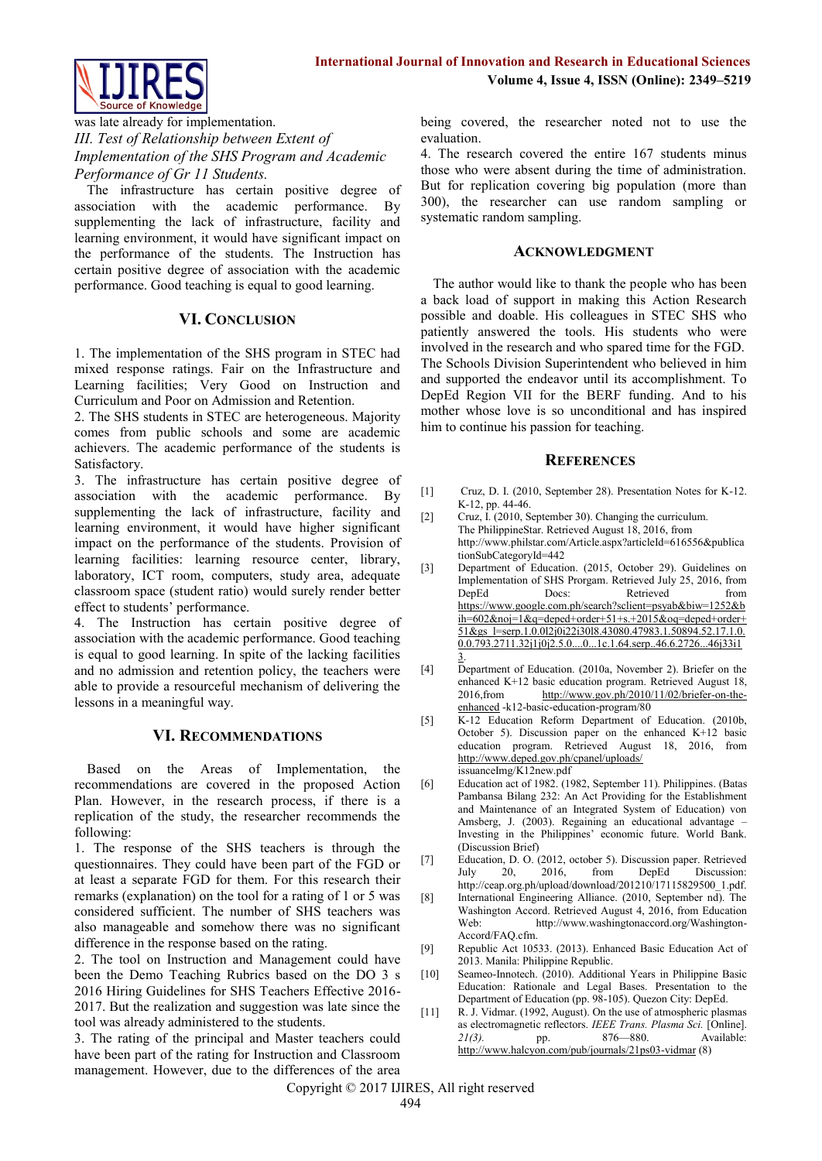

was late already for implementation. *III. Test of Relationship between Extent of Implementation of the SHS Program and Academic Performance of Gr 11 Students.*

The infrastructure has certain positive degree of association with the academic performance. By supplementing the lack of infrastructure, facility and learning environment, it would have significant impact on the performance of the students. The Instruction has certain positive degree of association with the academic performance. Good teaching is equal to good learning.

#### **VI. CONCLUSION**

1. The implementation of the SHS program in STEC had mixed response ratings. Fair on the Infrastructure and Learning facilities; Very Good on Instruction and Curriculum and Poor on Admission and Retention.

2. The SHS students in STEC are heterogeneous. Majority comes from public schools and some are academic achievers. The academic performance of the students is Satisfactory.

3. The infrastructure has certain positive degree of association with the academic performance. By supplementing the lack of infrastructure, facility and learning environment, it would have higher significant impact on the performance of the students. Provision of learning facilities: learning resource center, library, laboratory, ICT room, computers, study area, adequate classroom space (student ratio) would surely render better effect to students' performance.

4. The Instruction has certain positive degree of association with the academic performance. Good teaching is equal to good learning. In spite of the lacking facilities and no admission and retention policy, the teachers were able to provide a resourceful mechanism of delivering the lessons in a meaningful way.

#### **VI. RECOMMENDATIONS**

Based on the Areas of Implementation, the recommendations are covered in the proposed Action Plan. However, in the research process, if there is a replication of the study, the researcher recommends the following:

1. The response of the SHS teachers is through the questionnaires. They could have been part of the FGD or at least a separate FGD for them. For this research their remarks (explanation) on the tool for a rating of 1 or 5 was considered sufficient. The number of SHS teachers was also manageable and somehow there was no significant difference in the response based on the rating.

2. The tool on Instruction and Management could have been the Demo Teaching Rubrics based on the DO 3 s 2016 Hiring Guidelines for SHS Teachers Effective 2016- 2017. But the realization and suggestion was late since the tool was already administered to the students.

3. The rating of the principal and Master teachers could have been part of the rating for Instruction and Classroom management. However, due to the differences of the area being covered, the researcher noted not to use the evaluation.

4. The research covered the entire 167 students minus those who were absent during the time of administration. But for replication covering big population (more than 300), the researcher can use random sampling or systematic random sampling.

#### **ACKNOWLEDGMENT**

The author would like to thank the people who has been a back load of support in making this Action Research possible and doable. His colleagues in STEC SHS who patiently answered the tools. His students who were involved in the research and who spared time for the FGD. The Schools Division Superintendent who believed in him and supported the endeavor until its accomplishment. To DepEd Region VII for the BERF funding. And to his mother whose love is so unconditional and has inspired him to continue his passion for teaching.

#### **REFERENCES**

- [1] Cruz, D. I. (2010, September 28). Presentation Notes for K-12. K-12, pp. 44-46.
- [2] Cruz, I. (2010, September 30). Changing the curriculum. The PhilippineStar. Retrieved August 18, 2016, from http://www.philstar.com/Article.aspx?articleId=616556&publica tionSubCategoryId=442
- [3] Department of Education. (2015, October 29). Guidelines on Implementation of SHS Prorgam. Retrieved July 25, 2016, from Retrieved from [https://www.google.com.ph/search?sclient=psyab&biw=1252&b](https://www.google.com.ph/search?sclient=psyab&biw=1252&bih=602&noj=1&q=deped+order+51+s.+2015&oq=deped+order+51&gs_l=serp.1.0.0l2j0i22i30l8.43080.47983.1.50894.52.17.1.0.0.0.793.2711.32j1j0j2.5.0....0...1c.1.64.serp..46.6.2726...46j33i13) [ih=602&noj=1&q=deped+order+51+s.+2015&oq=deped+order+](https://www.google.com.ph/search?sclient=psyab&biw=1252&bih=602&noj=1&q=deped+order+51+s.+2015&oq=deped+order+51&gs_l=serp.1.0.0l2j0i22i30l8.43080.47983.1.50894.52.17.1.0.0.0.793.2711.32j1j0j2.5.0....0...1c.1.64.serp..46.6.2726...46j33i13) [51&gs\\_l=serp.1.0.0l2j0i22i30l8.43080.47983.1.50894.52.17.1.0.](https://www.google.com.ph/search?sclient=psyab&biw=1252&bih=602&noj=1&q=deped+order+51+s.+2015&oq=deped+order+51&gs_l=serp.1.0.0l2j0i22i30l8.43080.47983.1.50894.52.17.1.0.0.0.793.2711.32j1j0j2.5.0....0...1c.1.64.serp..46.6.2726...46j33i13)  $0.0.793.2711.32$ j $1$ j $0$ j $2.5.0$ .... $0$ ...1c.1.64.serp..46.6.2726...46j33i1 [3.](https://www.google.com.ph/search?sclient=psyab&biw=1252&bih=602&noj=1&q=deped+order+51+s.+2015&oq=deped+order+51&gs_l=serp.1.0.0l2j0i22i30l8.43080.47983.1.50894.52.17.1.0.0.0.793.2711.32j1j0j2.5.0....0...1c.1.64.serp..46.6.2726...46j33i13)
- [4] Department of Education. (2010a, November 2). Briefer on the enhanced K+12 basic education program. Retrieved August 18, 2016,from [http://www.gov.ph/2010/11/02/briefer-on-the](http://www.gov.ph/2010/11/02/briefer-on-the-enhanced)[enhanced](http://www.gov.ph/2010/11/02/briefer-on-the-enhanced) -k12-basic-education-program/80
- [5] K-12 Education Reform Department of Education. (2010b, October 5). Discussion paper on the enhanced K+12 basic education program. Retrieved August 18, 2016, from <http://www.deped.gov.ph/cpanel/uploads/> issuanceImg/K12new.pdf
- [6] Education act of 1982. (1982, September 11). Philippines. (Batas Pambansa Bilang 232: An Act Providing for the Establishment and Maintenance of an Integrated System of Education) von Amsberg, J. (2003). Regaining an educational advantage – Investing in the Philippines' economic future. World Bank. (Discussion Brief)
- [7] Education, D. O. (2012, october 5). Discussion paper. Retrieved July 20, 2016, from DepEd Discussion: http://ceap.org.ph/upload/download/201210/17115829500\_1.pdf.
- [8] International Engineering Alliance. (2010, September nd). The Washington Accord. Retrieved August 4, 2016, from Education Web: http://www.washingtonaccord.org/Washington-Accord/FAQ.cfm.
- [9] Republic Act 10533. (2013). Enhanced Basic Education Act of 2013. Manila: Philippine Republic.
- [10] Seameo-Innotech. (2010). Additional Years in Philippine Basic Education: Rationale and Legal Bases. Presentation to the Department of Education (pp. 98-105). Quezon City: DepEd.
- [11] R. J. Vidmar. (1992, August). On the use of atmospheric plasmas as electromagnetic reflectors. *IEEE Trans. Plasma Sci.* [Online]. 21(3). pp. 876—880. Available: <http://www.halcyon.com/pub/journals/21ps03-vidmar> (8)